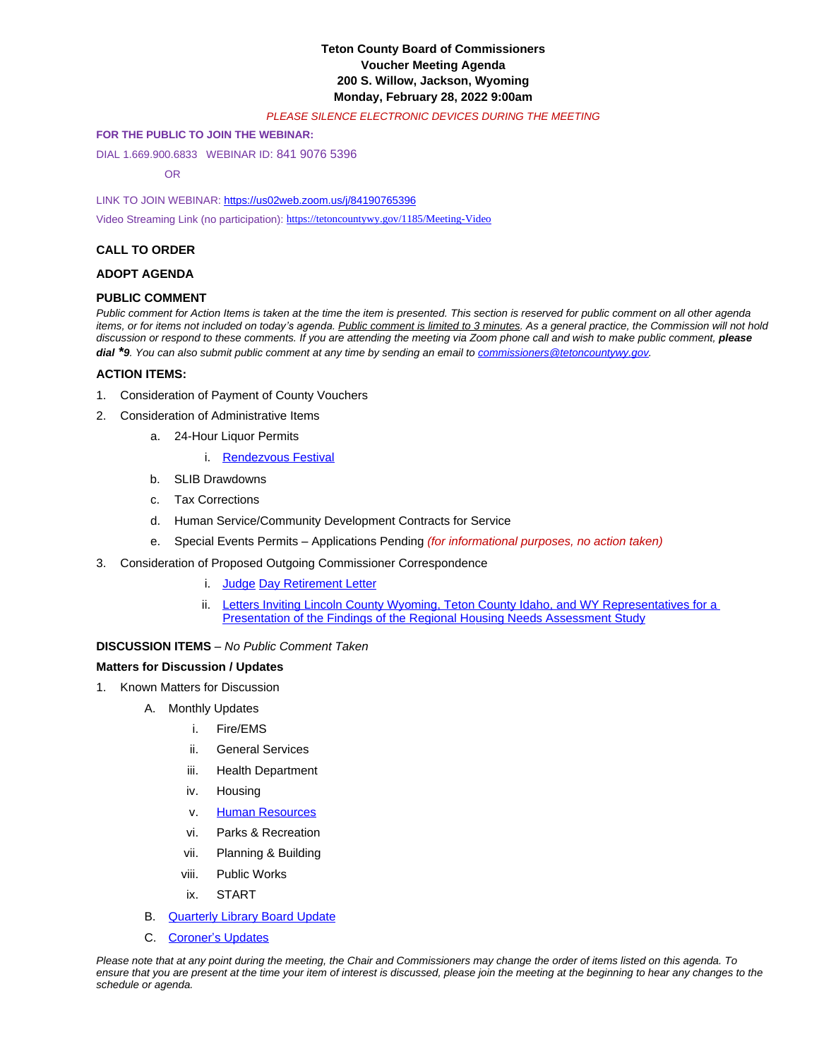# **Teton County Board of Commissioners Voucher Meeting Agenda 200 S. Willow, Jackson, Wyoming Monday, February 28, 2022 9:00am**

#### *PLEASE SILENCE ELECTRONIC DEVICES DURING THE MEETING*

#### **FOR THE PUBLIC TO JOIN THE WEBINAR:**

DIAL 1.669.900.6833 WEBINAR ID: 841 9076 5396

OR

LINK TO JOIN WEBINAR: <https://us02web.zoom.us/j/84190765396>

Video Streaming Link (no participation): <https://tetoncountywy.gov/1185/Meeting-Video>

## **[CALL TO ORDER](https://tetoncountywy.gov/1185/Meeting-Video)**

#### **[ADOPT AGENDA](https://tetoncountywy.gov/1185/Meeting-Video)**

#### **[PUBLIC COMMENT](https://tetoncountywy.gov/1185/Meeting-Video)**

*[Public comment for Action Items is taken at the time the item is presented. This section is reserved for public comment on all other agenda](https://tetoncountywy.gov/1185/Meeting-Video)  [items, or for items not included on tod](https://tetoncountywy.gov/1185/Meeting-Video)ay['s agenda.](https://tetoncountywy.gov/1185/Meeting-Video) [Public comment is limited to 3 minutes. As a general practice, the Commission will not hold](https://tetoncountywy.gov/1185/Meeting-Video)* [discussion or respond to these comments. If you are attending the meeting via Zoom phone call and wish to make public comment,](https://tetoncountywy.gov/1185/Meeting-Video) please *[dial](https://tetoncountywy.gov/1185/Meeting-Video)*<sup>\*</sup>[9](https://tetoncountywy.gov/1185/Meeting-Video)[. You can also submit public comment at any time by sending an email to](https://tetoncountywy.gov/1185/Meeting-Video) *[commissioners@tetoncountywy.gov.](mailto:commissioners@tetoncountywy.gov)* 

## **[ACTION ITEMS:](mailto:commissioners@tetoncountywy.gov)**

- 1. [Consideration of](mailto:commissioners@tetoncountywy.gov) [Payment](mailto:commissioners@tetoncountywy.gov) [of County Vouchers](mailto:commissioners@tetoncountywy.gov)
- 2. [Consideration of Administrative Items](mailto:commissioners@tetoncountywy.gov)
	- a. [24-Hour](mailto:commissioners@tetoncountywy.gov) [Liquor Permits](mailto:commissioners@tetoncountywy.gov)
		- i. [Rendezvous Festival](https://tetoncountywy.gov/DocumentCenter/View/21400/0228-Rendezvous-Festival-Staff-Report)
	- b. SLIB Drawdowns
	- c. Tax Corrections
	- d. Human Service/Community Development Contracts for Service
	- e. Special Events Permits Applications Pending *(for informational purposes, no action taken)*
- 3. Consideration of Proposed Outgoing Commissioner Correspondence
	- i. [Judge](https://tetoncountywy.gov/DocumentCenter/View/21405/Thank-You-Judge-Day) [Day Retirement Letter](https://tetoncountywy.gov/DocumentCenter/View/21405/Thank-You-Judge-Day)
	- ii. Letters Inviting Lincoln County Wyoming, Teton County Idaho, and WY Representatives for a [Presentation of the Findings of the Regional Housing Needs Assessment Study](https://tetoncountywy.gov/DocumentCenter/View/21404/0228Letters)

## **[DISCUSSION ITEMS](https://tetoncountywy.gov/DocumentCenter/View/21404/0228Letters)** *[–](https://tetoncountywy.gov/DocumentCenter/View/21404/0228Letters) [No Public Comment Taken](https://tetoncountywy.gov/DocumentCenter/View/21404/0228Letters)*

#### **[Matters for Discussion / Updates](https://tetoncountywy.gov/DocumentCenter/View/21404/0228Letters)**

- 1. [Known Matters for Discussion](https://tetoncountywy.gov/DocumentCenter/View/21404/0228Letters)
	- A. [Monthly Updates](https://tetoncountywy.gov/DocumentCenter/View/21404/0228Letters)
		- i. [Fire/EMS](https://tetoncountywy.gov/DocumentCenter/View/21404/0228Letters)
		- ii. [General Services](https://tetoncountywy.gov/DocumentCenter/View/21404/0228Letters)
		- iii. [Health Department](https://tetoncountywy.gov/DocumentCenter/View/21404/0228Letters)
		- iv. [Housing](https://tetoncountywy.gov/DocumentCenter/View/21404/0228Letters)
		- v. [Human Resources](https://www.tetoncountywy.gov/DocumentCenter/View/21412/HR-update-Feb-22)
		- vi. [Parks & Recreation](https://www.tetoncountywy.gov/DocumentCenter/View/21412/HR-update-Feb-22)
		- vii. [Planning](https://www.tetoncountywy.gov/DocumentCenter/View/21412/HR-update-Feb-22) [& Building](https://www.tetoncountywy.gov/DocumentCenter/View/21412/HR-update-Feb-22)
		- viii. [Public Works](https://www.tetoncountywy.gov/DocumentCenter/View/21412/HR-update-Feb-22)
		- ix. [START](https://www.tetoncountywy.gov/DocumentCenter/View/21412/HR-update-Feb-22)
	- B. [Quarterly Library Board Update](https://tetoncountywy.gov/DocumentCenter/View/21403/0228-Library-BOCC-Operations-Report-2-25)
	- C. [Coroner](https://tetoncountywy.gov/DocumentCenter/View/21401/02282021-Commissioners-Coroner-Report)['](https://tetoncountywy.gov/DocumentCenter/View/21401/02282021-Commissioners-Coroner-Report)[s Updates](https://tetoncountywy.gov/DocumentCenter/View/21401/02282021-Commissioners-Coroner-Report)

*Please note that at any point during the meeting, the Chair and Commissioners may change the order of items listed on this agenda. To ensure that you are present at the time your item of interest is discussed, please join the meeting at the beginning to hear any changes to the schedule or agenda.*